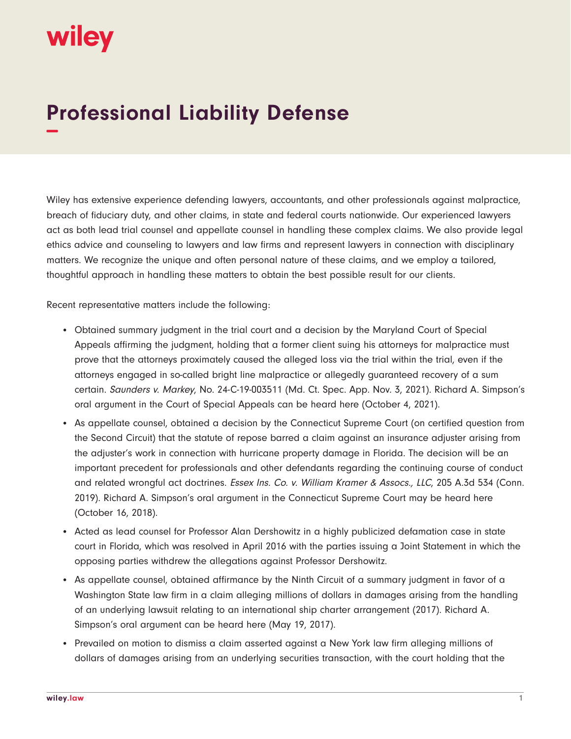## wiley

## **Professional Liability Defense −**

Wiley has extensive experience defending lawyers, accountants, and other professionals against malpractice, breach of fiduciary duty, and other claims, in state and federal courts nationwide. Our experienced lawyers act as both lead trial counsel and appellate counsel in handling these complex claims. We also provide legal ethics advice and counseling to lawyers and law firms and represent lawyers in connection with disciplinary matters. We recognize the unique and often personal nature of these claims, and we employ a tailored, thoughtful approach in handling these matters to obtain the best possible result for our clients.

Recent representative matters include the following:

- Obtained summary judgment in the trial court and a decision by the Maryland Court of Special Appeals affirming the judgment, holding that a former client suing his attorneys for malpractice must prove that the attorneys proximately caused the alleged loss via the trial within the trial, even if the attorneys engaged in so-called bright line malpractice or allegedly guaranteed recovery of a sum certain. Saunders v. Markey, No. 24-C-19-003511 (Md. Ct. Spec. App. Nov. 3, 2021). Richard A. Simpson's oral argument in the Court of Special Appeals can be heard here (October 4, 2021).
- As appellate counsel, obtained a decision by the Connecticut Supreme Court (on certified question from the Second Circuit) that the statute of repose barred a claim against an insurance adjuster arising from the adjuster's work in connection with hurricane property damage in Florida. The decision will be an important precedent for professionals and other defendants regarding the continuing course of conduct and related wrongful act doctrines. Essex Ins. Co. v. William Kramer & Assocs., LLC, 205 A.3d 534 (Conn. 2019). Richard A. Simpson's oral argument in the Connecticut Supreme Court may be heard here (October 16, 2018).
- Acted as lead counsel for Professor Alan Dershowitz in a highly publicized defamation case in state court in Florida, which was resolved in April 2016 with the parties issuing a Joint Statement in which the opposing parties withdrew the allegations against Professor Dershowitz.
- As appellate counsel, obtained affirmance by the Ninth Circuit of a summary judgment in favor of a Washington State law firm in a claim alleging millions of dollars in damages arising from the handling of an underlying lawsuit relating to an international ship charter arrangement (2017). Richard A. Simpson's oral argument can be heard here (May 19, 2017).
- Prevailed on motion to dismiss a claim asserted against a New York law firm alleging millions of dollars of damages arising from an underlying securities transaction, with the court holding that the